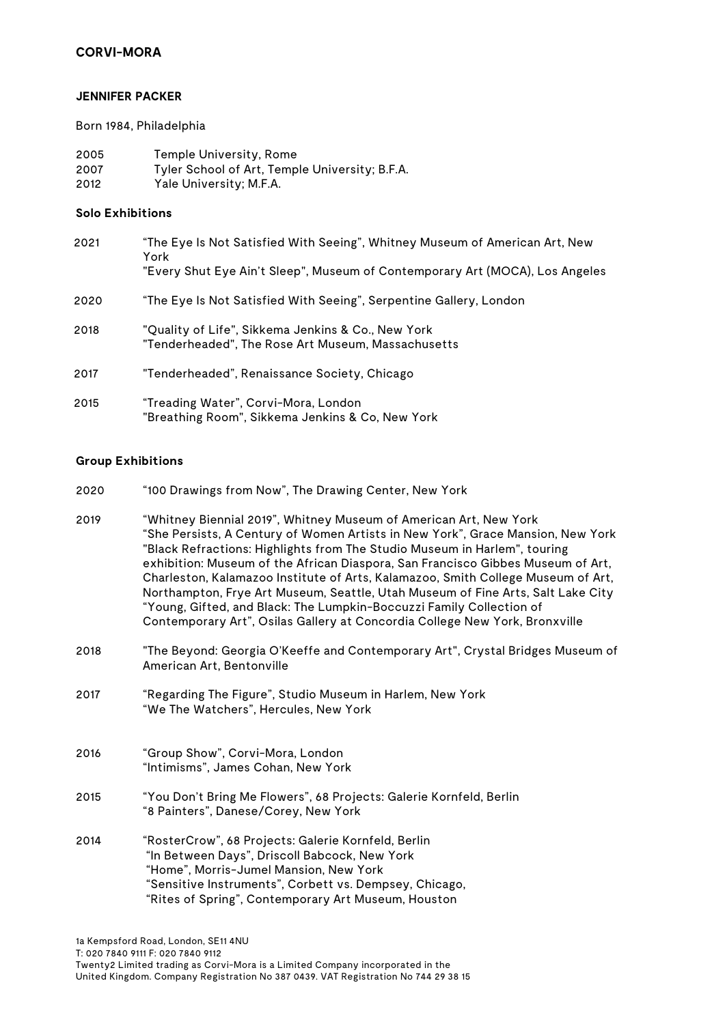## **CORVI-MORA**

#### **JENNIFER PACKER**

Born 1984, Philadelphia

| 2005 | Temple University, Rome                        |
|------|------------------------------------------------|
| 2007 | Tyler School of Art, Temple University; B.F.A. |
| 2012 | Yale University; M.F.A.                        |

### **Solo Exhibitions**

| 2021 | "The Eye Is Not Satisfied With Seeing", Whitney Museum of American Art, New<br>York                      |
|------|----------------------------------------------------------------------------------------------------------|
|      | "Every Shut Eye Ain't Sleep", Museum of Contemporary Art (MOCA), Los Angeles                             |
| 2020 | "The Eye Is Not Satisfied With Seeing", Serpentine Gallery, London                                       |
| 2018 | "Quality of Life", Sikkema Jenkins & Co., New York<br>"Tenderheaded", The Rose Art Museum, Massachusetts |
| 2017 | "Tenderheaded", Renaissance Society, Chicago                                                             |
| 2015 | "Treading Water", Corvi-Mora, London<br>"Breathing Room", Sikkema Jenkins & Co, New York                 |

# **Group Exhibitions**

| 2020 | "100 Drawings from Now", The Drawing Center, New York                                                                                                                                                                                                                                                                                                                                                                                                                                                                                                                                                                                              |
|------|----------------------------------------------------------------------------------------------------------------------------------------------------------------------------------------------------------------------------------------------------------------------------------------------------------------------------------------------------------------------------------------------------------------------------------------------------------------------------------------------------------------------------------------------------------------------------------------------------------------------------------------------------|
| 2019 | "Whitney Biennial 2019", Whitney Museum of American Art, New York<br>"She Persists, A Century of Women Artists in New York", Grace Mansion, New York<br>"Black Refractions: Highlights from The Studio Museum in Harlem", touring<br>exhibition: Museum of the African Diaspora, San Francisco Gibbes Museum of Art,<br>Charleston, Kalamazoo Institute of Arts, Kalamazoo, Smith College Museum of Art,<br>Northampton, Frye Art Museum, Seattle, Utah Museum of Fine Arts, Salt Lake City<br>"Young, Gifted, and Black: The Lumpkin-Boccuzzi Family Collection of<br>Contemporary Art", Osilas Gallery at Concordia College New York, Bronxville |
| 2018 | "The Beyond: Georgia O'Keeffe and Contemporary Art", Crystal Bridges Museum of<br>American Art, Bentonville                                                                                                                                                                                                                                                                                                                                                                                                                                                                                                                                        |
| 2017 | "Regarding The Figure", Studio Museum in Harlem, New York<br>"We The Watchers", Hercules, New York                                                                                                                                                                                                                                                                                                                                                                                                                                                                                                                                                 |
| 2016 | "Group Show", Corvi-Mora, London<br>"Intimisms", James Cohan, New York                                                                                                                                                                                                                                                                                                                                                                                                                                                                                                                                                                             |
| 2015 | "You Don't Bring Me Flowers", 68 Projects: Galerie Kornfeld, Berlin<br>"8 Painters", Danese/Corey, New York                                                                                                                                                                                                                                                                                                                                                                                                                                                                                                                                        |
| 2014 | "RosterCrow", 68 Projects: Galerie Kornfeld, Berlin<br>"In Between Days", Driscoll Babcock, New York<br>"Home", Morris-Jumel Mansion, New York<br>"Sensitive Instruments", Corbett vs. Dempsey, Chicago,<br>"Rites of Spring", Contemporary Art Museum, Houston                                                                                                                                                                                                                                                                                                                                                                                    |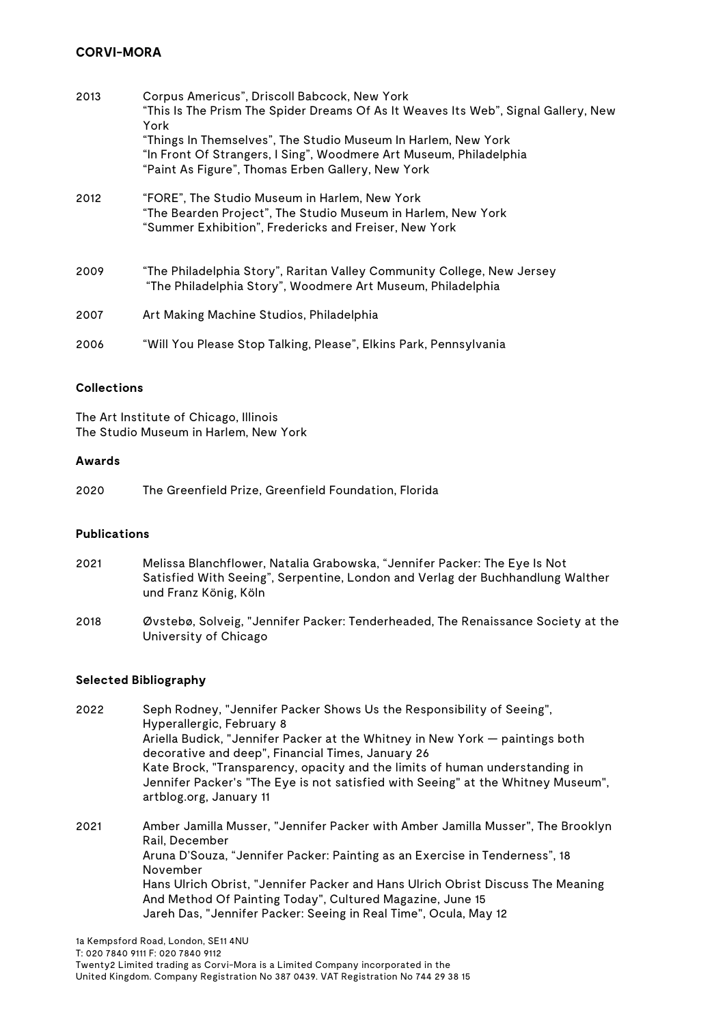# **CORVI-MORA**

| 2013 | Corpus Americus", Driscoll Babcock, New York<br>"This Is The Prism The Spider Dreams Of As It Weaves Its Web", Signal Gallery, New<br>York                                               |
|------|------------------------------------------------------------------------------------------------------------------------------------------------------------------------------------------|
|      | "Things In Themselves", The Studio Museum In Harlem, New York<br>"In Front Of Strangers, I Sing", Woodmere Art Museum, Philadelphia<br>"Paint As Figure", Thomas Erben Gallery, New York |
| 2012 | "FORE", The Studio Museum in Harlem, New York<br>"The Bearden Project", The Studio Museum in Harlem, New York<br>"Summer Exhibition", Fredericks and Freiser, New York                   |
| 2009 | "The Philadelphia Story", Raritan Valley Community College, New Jersey<br>"The Philadelphia Story", Woodmere Art Museum, Philadelphia                                                    |
| 2007 | Art Making Machine Studios, Philadelphia                                                                                                                                                 |
| 2006 | "Will You Please Stop Talking, Please", Elkins Park, Pennsylvania                                                                                                                        |

#### **Collections**

The Art Institute of Chicago, Illinois The Studio Museum in Harlem, New York

#### **Awards**

2020 The Greenfield Prize, Greenfield Foundation, Florida

## **Publications**

- 2021 Melissa Blanchflower, Natalia Grabowska, "Jennifer Packer: The Eye Is Not Satisfied With Seeing", Serpentine, London and Verlag der Buchhandlung Walther und Franz König, Köln
- 2018 Øvstebø, Solveig, "Jennifer Packer: Tenderheaded, The Renaissance Society at the University of Chicago

## **Selected Bibliography**

2022 Seph Rodney, "Jennifer Packer Shows Us the Responsibility of Seeing", Hyperallergic, February 8 Ariella Budick, "Jennifer Packer at the Whitney in New York — paintings both decorative and deep", Financial Times, January 26 Kate Brock, "Transparency, opacity and the limits of human understanding in Jennifer Packer's "The Eye is not satisfied with Seeing" at the Whitney Museum", artblog.org, January 11

2021 Amber Jamilla Musser, "Jennifer Packer with Amber Jamilla Musser", The Brooklyn Rail, December Aruna D'Souza, "Jennifer Packer: Painting as an Exercise in Tenderness", 18 November Hans Ulrich Obrist, "Jennifer Packer and Hans Ulrich Obrist Discuss The Meaning And Method Of Painting Today", Cultured Magazine, June 15 Jareh Das, "Jennifer Packer: Seeing in Real Time", Ocula, May 12